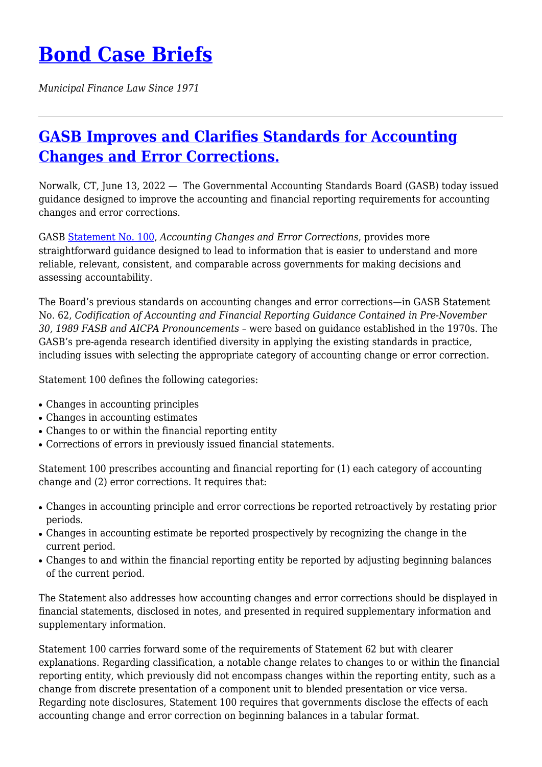## **[Bond Case Briefs](https://bondcasebriefs.com)**

*Municipal Finance Law Since 1971*

## **[GASB Improves and Clarifies Standards for Accounting](https://bondcasebriefs.com/2022/06/21/regulatory/gasb-improves-and-clarifies-standards-for-accounting-changes-and-error-corrections/) [Changes and Error Corrections.](https://bondcasebriefs.com/2022/06/21/regulatory/gasb-improves-and-clarifies-standards-for-accounting-changes-and-error-corrections/)**

Norwalk, CT, June 13, 2022 — The Governmental Accounting Standards Board (GASB) today issued guidance designed to improve the accounting and financial reporting requirements for accounting changes and error corrections.

GASB [Statement No. 100,](https://www.gasb.org/page/ShowDocument?path=GASBS%20100.pdf&acceptedDisclaimer=true&title=GASB Statement No. 100, Accounting Changes and Error Corrections—an amendment of GASB Statement No. 62&Submit=) *Accounting Changes and Error Corrections*, provides more straightforward guidance designed to lead to information that is easier to understand and more reliable, relevant, consistent, and comparable across governments for making decisions and assessing accountability.

The Board's previous standards on accounting changes and error corrections—in GASB Statement No. 62, *Codification of Accounting and Financial Reporting Guidance Contained in Pre-November 30, 1989 FASB and AICPA Pronouncements* – were based on guidance established in the 1970s. The GASB's pre-agenda research identified diversity in applying the existing standards in practice, including issues with selecting the appropriate category of accounting change or error correction.

Statement 100 defines the following categories:

- Changes in accounting principles
- Changes in accounting estimates
- Changes to or within the financial reporting entity
- Corrections of errors in previously issued financial statements.

Statement 100 prescribes accounting and financial reporting for (1) each category of accounting change and (2) error corrections. It requires that:

- Changes in accounting principle and error corrections be reported retroactively by restating prior periods.
- Changes in accounting estimate be reported prospectively by recognizing the change in the current period.
- Changes to and within the financial reporting entity be reported by adjusting beginning balances of the current period.

The Statement also addresses how accounting changes and error corrections should be displayed in financial statements, disclosed in notes, and presented in required supplementary information and supplementary information.

Statement 100 carries forward some of the requirements of Statement 62 but with clearer explanations. Regarding classification, a notable change relates to changes to or within the financial reporting entity, which previously did not encompass changes within the reporting entity, such as a change from discrete presentation of a component unit to blended presentation or vice versa. Regarding note disclosures, Statement 100 requires that governments disclose the effects of each accounting change and error correction on beginning balances in a tabular format.